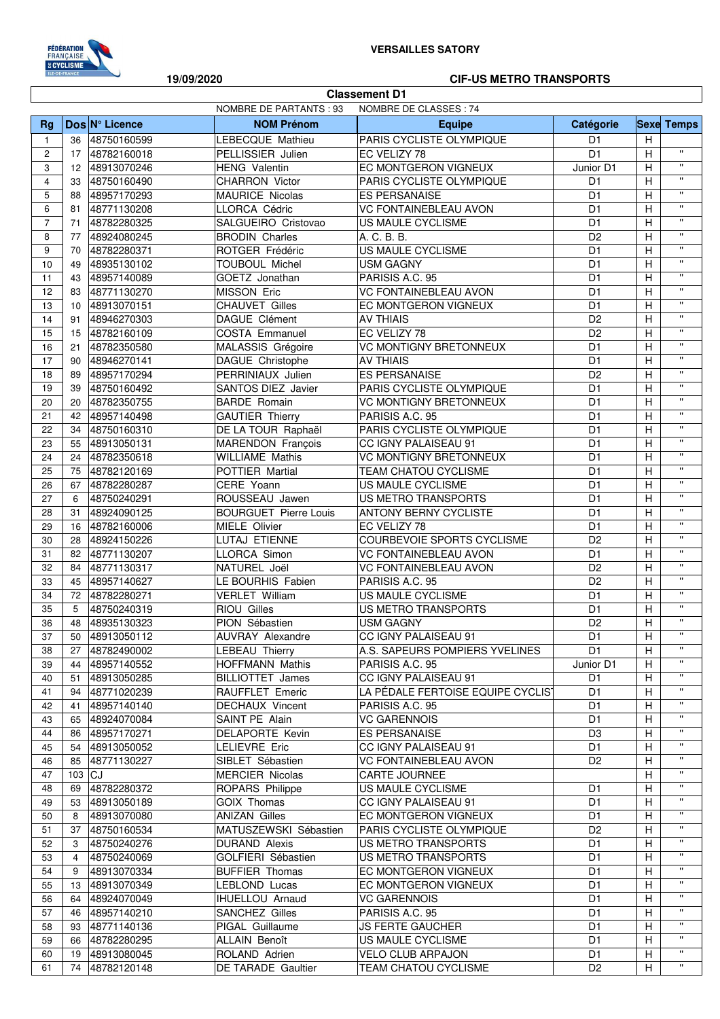

Г

## **19/09/2020 CIF-US METRO TRANSPORTS**

٦

| <b>Classement D1</b>                                    |          |                            |                                           |                                                           |                                  |                |                                          |
|---------------------------------------------------------|----------|----------------------------|-------------------------------------------|-----------------------------------------------------------|----------------------------------|----------------|------------------------------------------|
| <b>NOMBRE DE PARTANTS: 93</b><br>NOMBRE DE CLASSES : 74 |          |                            |                                           |                                                           |                                  |                |                                          |
| Rg                                                      |          | Dos Nº Licence             | <b>NOM Prénom</b>                         | Equipe                                                    | Catégorie                        |                | <b>Sexe Temps</b>                        |
| $\overline{1}$                                          | 36       | 48750160599                | LEBECQUE Mathieu                          | PARIS CYCLISTE OLYMPIQUE                                  | D <sub>1</sub>                   | H              |                                          |
| $\overline{c}$                                          | 17       | 48782160018                | PELLISSIER Julien                         | EC VELIZY 78                                              | D <sub>1</sub>                   | H              | $\mathbf{u}$                             |
| 3                                                       | 12       | 48913070246                | <b>HENG Valentin</b>                      | EC MONTGERON VIGNEUX                                      | Junior D1                        | н              | $\mathbf{u}$                             |
| 4                                                       | 33       | 48750160490                | <b>CHARRON Victor</b>                     | PARIS CYCLISTE OLYMPIQUE                                  | D <sub>1</sub>                   | Η              | $\mathbf{u}$                             |
| 5                                                       | 88       | 48957170293                | <b>MAURICE Nicolas</b>                    | <b>ES PERSANAISE</b>                                      | D <sub>1</sub>                   | $\overline{H}$ | $\pmb{\mathsf{H}}$                       |
| 6                                                       | 81       | 48771130208                | LLORCA Cédric                             | <b>VC FONTAINEBLEAU AVON</b>                              | D <sub>1</sub>                   | H              | $\mathbf{u}$                             |
| $\overline{7}$                                          | 71       | 48782280325                | SALGUEIRO Cristovao                       | US MAULE CYCLISME                                         | D <sub>1</sub>                   | Η              | $\mathbf{u}$                             |
| 8                                                       | 77       | 48924080245                | <b>BRODIN Charles</b>                     | A. C. B. B.                                               | D <sub>2</sub>                   | H              | $\boldsymbol{\mathsf{H}}$                |
| 9                                                       | 70       | 48782280371                | ROTGER Frédéric                           | <b>US MAULE CYCLISME</b>                                  | D <sub>1</sub>                   | Η              | $\bar{\mathbf{u}}$                       |
| 10                                                      | 49       | 48935130102                | <b>TOUBOUL Michel</b>                     | <b>USM GAGNY</b>                                          | D <sub>1</sub>                   | Н              | $\boldsymbol{\mathsf{H}}$                |
| 11                                                      | 43       | 48957140089                | GOETZ Jonathan                            | PARISIS A.C. 95                                           | D <sub>1</sub>                   | Η              | $\boldsymbol{\mathsf{H}}$                |
| 12                                                      | 83       | 48771130270                | <b>MISSON Eric</b>                        | <b>VC FONTAINEBLEAU AVON</b>                              | D <sub>1</sub>                   | н              | $\boldsymbol{\mathsf{H}}$                |
| 13                                                      | 10       | 48913070151                | <b>CHAUVET Gilles</b>                     | EC MONTGERON VIGNEUX                                      | D <sub>1</sub>                   | н              | $\boldsymbol{\mathsf{H}}$                |
| 14                                                      | 91       | 48946270303                | DAGUE Clément                             | <b>AV THIAIS</b>                                          | D <sub>2</sub>                   | Н              | $\mathbf{u}$                             |
| 15                                                      | 15       | 48782160109                | COSTA Emmanuel                            | EC VELIZY 78                                              | D <sub>2</sub>                   | Η              | $\pmb{\mathsf{H}}$                       |
| 16                                                      | 21       | 48782350580                | MALASSIS Grégoire                         | <b>VC MONTIGNY BRETONNEUX</b>                             | D <sub>1</sub>                   | H              | $\pmb{\mathsf{H}}$                       |
| 17                                                      | 90       | 48946270141                | DAGUE Christophe                          | <b>AV THIAIS</b>                                          | D <sub>1</sub>                   | Η              | $\mathbf{u}$                             |
| 18                                                      | 89       | 48957170294                | PERRINIAUX Julien                         | ES PERSANAISE                                             | D <sub>2</sub>                   | Н              | $\boldsymbol{\mathsf{H}}$                |
| 19                                                      | 39       | 48750160492                | SANTOS DIEZ Javier                        | PARIS CYCLISTE OLYMPIQUE                                  | D <sub>1</sub>                   | H              | $\mathbf{u}$                             |
| 20                                                      | 20       | 48782350755                | <b>BARDE</b> Romain                       | <b>VC MONTIGNY BRETONNEUX</b>                             | D <sub>1</sub>                   | н              | $\boldsymbol{\mathsf{H}}$                |
| 21                                                      | 42       | 48957140498                | <b>GAUTIER Thierry</b>                    | PARISIS A.C. 95                                           | D <sub>1</sub>                   | Η              | $\mathbf{H}$                             |
| 22                                                      | 34       | 48750160310                | DE LA TOUR Raphaël                        | PARIS CYCLISTE OLYMPIQUE                                  | D <sub>1</sub>                   | Н              | $\boldsymbol{\mathsf{H}}$                |
| 23                                                      | 55       | 48913050131                | <b>MARENDON François</b>                  | CC IGNY PALAISEAU 91                                      | D <sub>1</sub>                   | н              | $\boldsymbol{\mathsf{H}}$                |
| 24                                                      | 24       | 48782350618                | <b>WILLIAME Mathis</b>                    | <b>VC MONTIGNY BRETONNEUX</b>                             | D <sub>1</sub>                   | Н              | $\mathbf{H}$                             |
| 25                                                      | 75       | 48782120169                | POTTIER Martial                           | TEAM CHATOU CYCLISME                                      | D <sub>1</sub>                   | Η              | $\pmb{\mathsf{H}}$<br>$\pmb{\mathsf{H}}$ |
| 26                                                      | 67       | 48782280287                | CERE Yoann                                | US MAULE CYCLISME                                         | D <sub>1</sub>                   | H              | $\mathbf{u}$                             |
| 27                                                      | 6        | 48750240291                | ROUSSEAU Jawen                            | US METRO TRANSPORTS                                       | D <sub>1</sub>                   | Η              | $\boldsymbol{\mathsf{H}}$                |
| 28                                                      | 31       | 48924090125                | <b>BOURGUET Pierre Louis</b>              | <b>ANTONY BERNY CYCLISTE</b>                              | D <sub>1</sub>                   | H              | $\mathbf{u}$                             |
| 29                                                      | 16       | 48782160006                | MIELE Olivier                             | EC VELIZY 78                                              | D <sub>1</sub>                   | H              | $\boldsymbol{\mathsf{H}}$                |
| 30                                                      | 28       | 48924150226                | LUTAJ ETIENNE                             | COURBEVOIE SPORTS CYCLISME                                | D <sub>2</sub>                   | Н              | $\boldsymbol{\mathsf{H}}$                |
| 31                                                      | 82       | 48771130207                | LLORCA Simon                              | <b>VC FONTAINEBLEAU AVON</b>                              | D <sub>1</sub>                   | Н              | $\boldsymbol{\mathsf{H}}$                |
| 32                                                      | 84       | 48771130317                | NATUREL Joël                              | <b>VC FONTAINEBLEAU AVON</b>                              | D <sub>2</sub>                   | н              | $\boldsymbol{\mathsf{H}}$                |
| 33                                                      | 45       | 48957140627                | LE BOURHIS Fabien                         | PARISIS A.C. 95                                           | D <sub>2</sub>                   | н              | $\mathbf{u}$                             |
| 34                                                      | 72       | 48782280271                | <b>VERLET William</b>                     | US MAULE CYCLISME                                         | D <sub>1</sub>                   | Н              | $\pmb{\mathsf{H}}$                       |
| 35                                                      | 5        | 48750240319                | RIOU Gilles                               | US METRO TRANSPORTS                                       | D <sub>1</sub>                   | Η              | $\pmb{\mathsf{H}}$                       |
| 36                                                      | 48       | 48935130323                | PION Sébastien                            | <b>USM GAGNY</b>                                          | D <sub>2</sub>                   | H              | $\pmb{\cdot}$                            |
| 37                                                      | 50       | 48913050112                | <b>AUVRAY Alexandre</b>                   | CC IGNY PALAISEAU 91<br>A.S. SAPEURS POMPIERS YVELINES    | D1<br>D <sub>1</sub>             | н<br>H         |                                          |
| 38                                                      | 27       | 48782490002                | LEBEAU Thierry<br><b>HOFFMANN Mathis</b>  |                                                           | Junior D1                        |                | $\mathbf{u}$                             |
| 39                                                      | 44       | 48957140552                |                                           | PARISIS A.C. 95                                           |                                  | н              | $\pmb{\mathsf{H}}$                       |
| 40                                                      | 51       | 48913050285                | <b>BILLIOTTET James</b>                   | CC IGNY PALAISEAU 91<br>LA PÉDALE FERTOISE EQUIPE CYCLIST | D <sub>1</sub>                   | Η              | $\pmb{\mathsf{H}}$                       |
| 41<br>42                                                | 94<br>41 | 48771020239                | RAUFFLET Emeric<br><b>DECHAUX Vincent</b> | PARISIS A.C. 95                                           | D <sub>1</sub><br>D <sub>1</sub> | н<br>н         | $\pmb{\mathsf{H}}$                       |
| 43                                                      |          | 48957140140<br>48924070084 | SAINT PE Alain                            | <b>VC GARENNOIS</b>                                       | D <sub>1</sub>                   | н              | $\pmb{\mathsf{H}}$                       |
| 44                                                      | 65<br>86 | 48957170271                | <b>DELAPORTE Kevin</b>                    |                                                           | D <sub>3</sub>                   | н              | $\pmb{\mathsf{H}}$                       |
| 45                                                      | 54       | 48913050052                | LELIEVRE Eric                             | <b>ES PERSANAISE</b><br>CC IGNY PALAISEAU 91              | D1                               | н              | $\pmb{\mathsf{H}}$                       |
| 46                                                      | 85       | 48771130227                | SIBLET Sébastien                          | <b>VC FONTAINEBLEAU AVON</b>                              | D <sub>2</sub>                   | H              | $\pmb{\mathsf{H}}$                       |
| 47                                                      | 103 CJ   |                            | <b>MERCIER Nicolas</b>                    | CARTE JOURNEE                                             |                                  | н              | $\pmb{\mathsf{H}}$                       |
| 48                                                      | 69       | 48782280372                | ROPARS Philippe                           | US MAULE CYCLISME                                         | D <sub>1</sub>                   | н              | $\pmb{\mathsf{H}}$                       |
| 49                                                      | 53       | 48913050189                | <b>GOIX Thomas</b>                        | CC IGNY PALAISEAU 91                                      | D <sub>1</sub>                   | Н              | $\pmb{\mathsf{u}}$                       |
| 50                                                      | 8        | 48913070080                | <b>ANIZAN Gilles</b>                      | EC MONTGERON VIGNEUX                                      | D <sub>1</sub>                   | Η              | $\pmb{\mathsf{H}}$                       |
| 51                                                      | 37       | 48750160534                | MATUSZEWSKI Sébastien                     | PARIS CYCLISTE OLYMPIQUE                                  | D <sub>2</sub>                   | н              | $\pmb{\mathsf{H}}$                       |
| 52                                                      | 3        | 48750240276                | <b>DURAND Alexis</b>                      | US METRO TRANSPORTS                                       | D <sub>1</sub>                   | н              | $\pmb{\mathsf{H}}$                       |
| 53                                                      | 4        | 48750240069                | GOLFIERI Sébastien                        | US METRO TRANSPORTS                                       | D <sub>1</sub>                   | н              | $\pmb{\mathsf{H}}$                       |
| 54                                                      | 9        | 48913070334                | <b>BUFFIER Thomas</b>                     | EC MONTGERON VIGNEUX                                      | D <sub>1</sub>                   | н              | $\pmb{\mathsf{H}}$                       |
| 55                                                      | 13       | 48913070349                | LEBLOND Lucas                             | EC MONTGERON VIGNEUX                                      | D <sub>1</sub>                   | н              | $\pmb{\mathsf{H}}$                       |
| 56                                                      | 64       | 48924070049                | <b>IHUELLOU Arnaud</b>                    | <b>VC GARENNOIS</b>                                       | D <sub>1</sub>                   | н              | $\pmb{\mathsf{H}}$                       |
| 57                                                      | 46       | 48957140210                | SANCHEZ Gilles                            | PARISIS A.C. 95                                           | D <sub>1</sub>                   | Н              | $\pmb{\mathsf{H}}$                       |
| 58                                                      | 93       | 48771140136                | PIGAL Guillaume                           | <b>JS FERTE GAUCHER</b>                                   | D <sub>1</sub>                   | Η              | $\pmb{\mathsf{u}}$                       |
| 59                                                      | 66       | 48782280295                | ALLAIN Benoît                             | US MAULE CYCLISME                                         | D <sub>1</sub>                   | н              | $\pmb{\mathsf{H}}$                       |
| 60                                                      | 19       | 48913080045                | ROLAND Adrien                             | <b>VELO CLUB ARPAJON</b>                                  | D <sub>1</sub>                   | Η              | $\pmb{\mathsf{H}}$                       |
| 61                                                      | 74       | 48782120148                | <b>DE TARADE Gaultier</b>                 | TEAM CHATOU CYCLISME                                      | D <sub>2</sub>                   | н              | $\pmb{\mathsf{H}}$                       |
|                                                         |          |                            |                                           |                                                           |                                  |                |                                          |